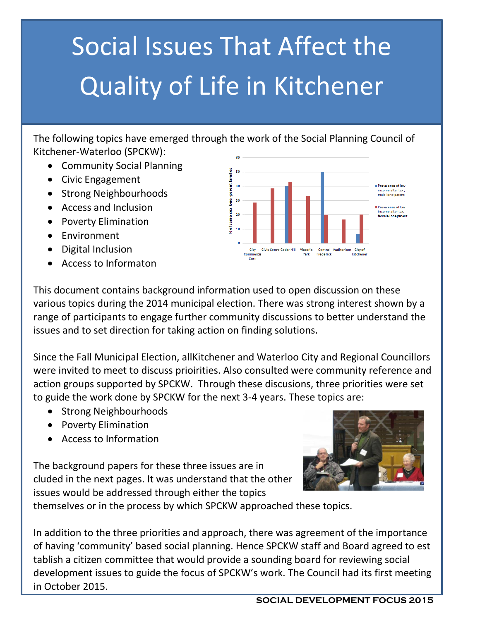# Social Issues That Affect the Quality of Life in Kitchener

The following topics have emerged through the work of the Social Planning Council of Kitchener-Waterloo (SPCKW):

- Community Social Planning
- Civic Engagement
- Strong Neighbourhoods
- Access and Inclusion
- Poverty Elimination
- Environment
- Digital Inclusion
- Access to Informaton



This document contains background information used to open discussion on these various topics during the 2014 municipal election. There was strong interest shown by a range of participants to engage further community discussions to better understand the issues and to set direction for taking action on finding solutions.

Since the Fall Municipal Election, allKitchener and Waterloo City and Regional Councillors were invited to meet to discuss prioirities. Also consulted were community reference and action groups supported by SPCKW. Through these discusions, three priorities were set to guide the work done by SPCKW for the next 3-4 years. These topics are:

- Strong Neighbourhoods
- Poverty Elimination
- Access to Information

The background papers for these three issues are in cluded in the next pages. It was understand that the other issues would be addressed through either the topics



themselves or in the process by which SPCKW approached these topics.

In addition to the three priorities and approach, there was agreement of the importance of having 'community' based social planning. Hence SPCKW staff and Board agreed to est tablish a citizen committee that would provide a sounding board for reviewing social development issues to guide the focus of SPCKW's work. The Council had its first meeting in October 2015.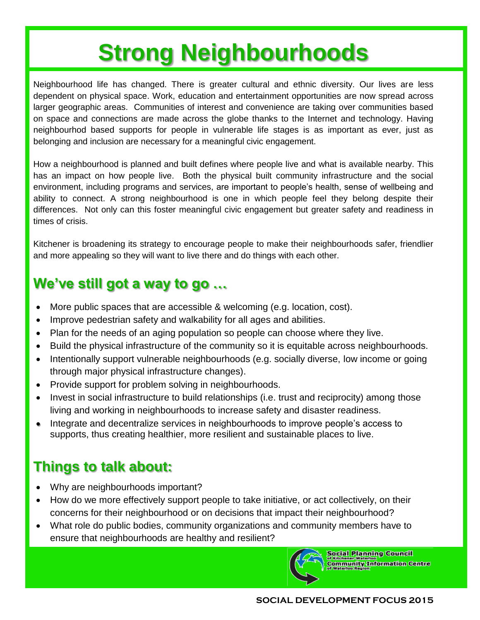## **Strong Neighbourhoods**

Neighbourhood life has changed. There is greater cultural and ethnic diversity. Our lives are less dependent on physical space. Work, education and entertainment opportunities are now spread across larger geographic areas. Communities of interest and convenience are taking over communities based on space and connections are made across the globe thanks to the Internet and technology. Having neighbourhod based supports for people in vulnerable life stages is as important as ever, just as belonging and inclusion are necessary for a meaningful civic engagement.

How a neighbourhood is planned and built defines where people live and what is available nearby. This has an impact on how people live. Both the physical built community infrastructure and the social environment, including programs and services, are important to people's health, sense of wellbeing and ability to connect. A strong neighbourhood is one in which people feel they belong despite their differences. Not only can this foster meaningful civic engagement but greater safety and readiness in times of crisis.

Kitchener is broadening its strategy to encourage people to make their neighbourhoods safer, friendlier and more appealing so they will want to live there and do things with each other.

### **We've still got a way to go …**

- More public spaces that are accessible & welcoming (e.g. location, cost).
- Improve pedestrian safety and walkability for all ages and abilities.
- Plan for the needs of an aging population so people can choose where they live.
- Build the physical infrastructure of the community so it is equitable across neighbourhoods.
- Intentionally support vulnerable neighbourhoods (e.g. socially diverse, low income or going through major physical infrastructure changes).
- Provide support for problem solving in neighbourhoods.
- Invest in social infrastructure to build relationships (i.e. trust and reciprocity) among those living and working in neighbourhoods to increase safety and disaster readiness.
- Integrate and decentralize services in neighbourhoods to improve people's access to supports, thus creating healthier, more resilient and sustainable places to live.

### **Things to talk about:**

- Why are neighbourhoods important?
- How do we more effectively support people to take initiative, or act collectively, on their concerns for their neighbourhood or on decisions that impact their neighbourhood?
- What role do public bodies, community organizations and community members have to ensure that neighbourhoods are healthy and resilient?



Social Planning Council **Community Information Centre**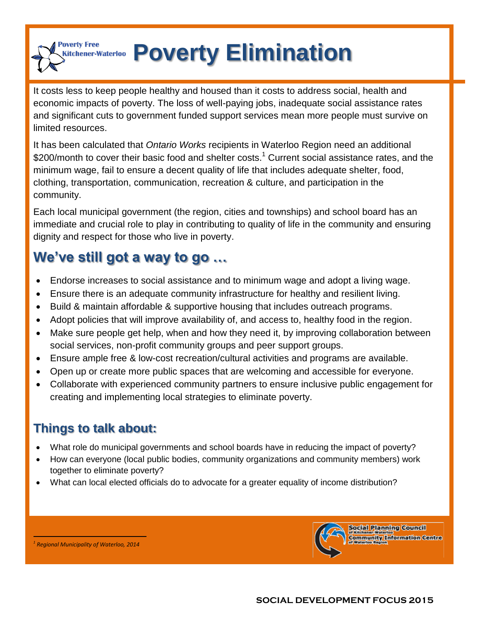**Poverty Elimination** itchener-Waterloo

It costs less to keep people healthy and housed than it costs to address social, health and economic impacts of poverty. The loss of well-paying jobs, inadequate social assistance rates and significant cuts to government funded support services mean more people must survive on limited resources.

It has been calculated that *Ontario Works* recipients in Waterloo Region need an additional \$200/month to cover their basic food and shelter costs.<sup>1</sup> Current social assistance rates, and the minimum wage, fail to ensure a decent quality of life that includes adequate shelter, food, clothing, transportation, communication, recreation & culture, and participation in the community.

Each local municipal government (the region, cities and townships) and school board has an immediate and crucial role to play in contributing to quality of life in the community and ensuring dignity and respect for those who live in poverty.

## **We've still got a way to go …**

- Endorse increases to social assistance and to minimum wage and adopt a living wage.
- Ensure there is an adequate community infrastructure for healthy and resilient living.
- Build & maintain affordable & supportive housing that includes outreach programs.
- Adopt policies that will improve availability of, and access to, healthy food in the region.
- Make sure people get help, when and how they need it, by improving collaboration between social services, non-profit community groups and peer support groups.
- Ensure ample free & low-cost recreation/cultural activities and programs are available.
- Open up or create more public spaces that are welcoming and accessible for everyone.
- Collaborate with experienced community partners to ensure inclusive public engagement for creating and implementing local strategies to eliminate poverty.

### **Things to talk about:**

**Poverty Free** 

- What role do municipal governments and school boards have in reducing the impact of poverty?
- How can everyone (local public bodies, community organizations and community members) work together to eliminate poverty?
- What can local elected officials do to advocate for a greater equality of income distribution?



*1 Regional Municipality of Waterloo, 2014* 

 $\overline{a}$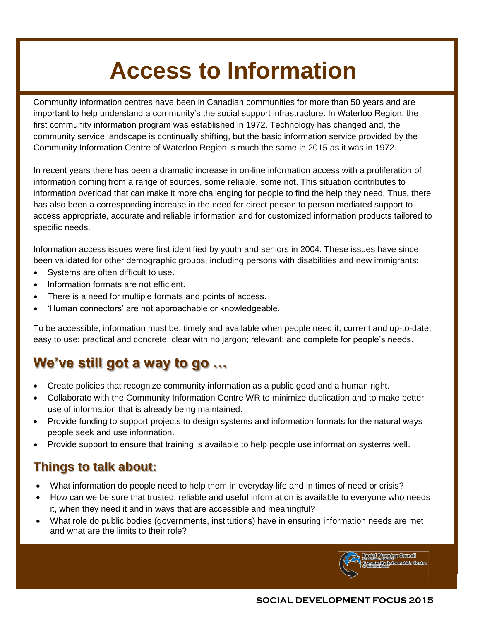## **Access to Information**

Community information centres have been in Canadian communities for more than 50 years and are important to help understand a community's the social support infrastructure. In Waterloo Region, the first community information program was established in 1972. Technology has changed and, the community service landscape is continually shifting, but the basic information service provided by the Community Information Centre of Waterloo Region is much the same in 2015 as it was in 1972.

In recent years there has been a dramatic increase in on-line information access with a proliferation of information coming from a range of sources, some reliable, some not. This situation contributes to information overload that can make it more challenging for people to find the help they need. Thus, there has also been a corresponding increase in the need for direct person to person mediated support to access appropriate, accurate and reliable information and for customized information products tailored to specific needs.

Information access issues were first identified by youth and seniors in 2004. These issues have since been validated for other demographic groups, including persons with disabilities and new immigrants:

- Systems are often difficult to use.
- Information formats are not efficient.
- There is a need for multiple formats and points of access.
- 'Human connectors' are not approachable or knowledgeable.

To be accessible, information must be: timely and available when people need it; current and up-to-date; easy to use; practical and concrete; clear with no jargon; relevant; and complete for people's needs.

### **We've still got a way to go …**

- Create policies that recognize community information as a public good and a human right.
- Collaborate with the Community Information Centre WR to minimize duplication and to make better use of information that is already being maintained.
- Provide funding to support projects to design systems and information formats for the natural ways people seek and use information.
- Provide support to ensure that training is available to help people use information systems well.

#### **Things to talk about:**

- What information do people need to help them in everyday life and in times of need or crisis?
- How can we be sure that trusted, reliable and useful information is available to everyone who needs it, when they need it and in ways that are accessible and meaningful?
- What role do public bodies (governments, institutions) have in ensuring information needs are met and what are the limits to their role?